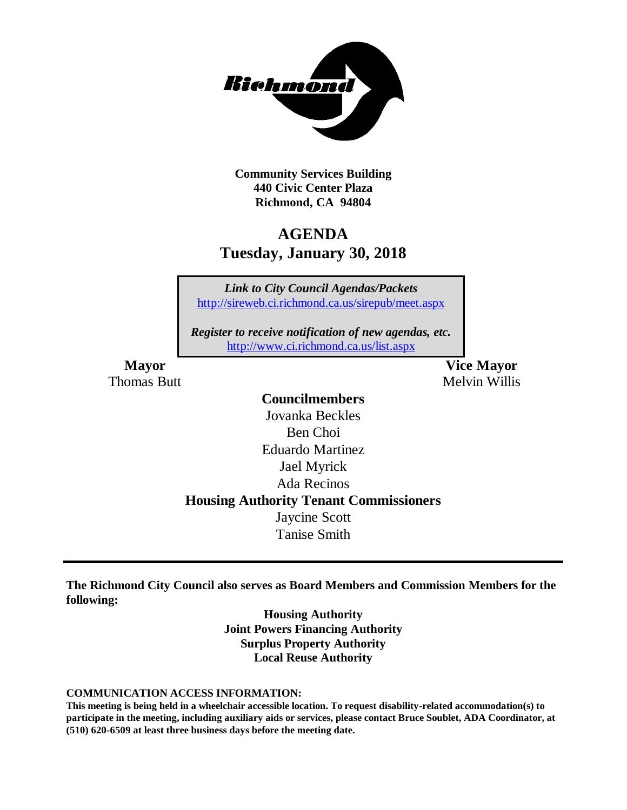

**Community Services Building 440 Civic Center Plaza Richmond, CA 94804**

# **AGENDA Tuesday, January 30, 2018**

*Link to City Council Agendas/Packets* <http://sireweb.ci.richmond.ca.us/sirepub/meet.aspx>

*Register to receive notification of new agendas, etc.* <http://www.ci.richmond.ca.us/list.aspx>

**Mayor Vice Mayor** Thomas Butt **Melvin Willis** Melvin Willis

### **Councilmembers** Jovanka Beckles Ben Choi Eduardo Martinez Jael Myrick Ada Recinos **Housing Authority Tenant Commissioners** Jaycine Scott Tanise Smith

**The Richmond City Council also serves as Board Members and Commission Members for the following:**

> **Housing Authority Joint Powers Financing Authority Surplus Property Authority Local Reuse Authority**

#### **COMMUNICATION ACCESS INFORMATION:**

**This meeting is being held in a wheelchair accessible location. To request disability-related accommodation(s) to participate in the meeting, including auxiliary aids or services, please contact Bruce Soublet, ADA Coordinator, at (510) 620-6509 at least three business days before the meeting date.**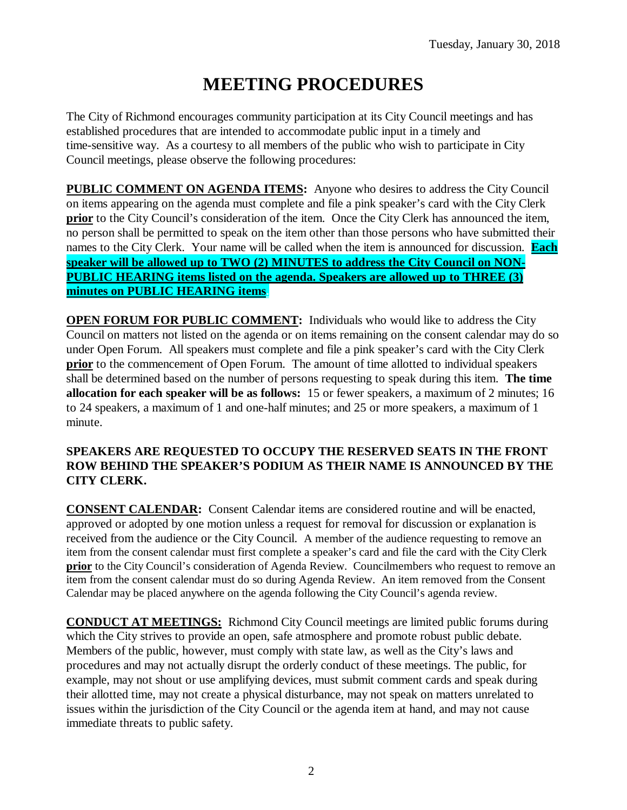# **MEETING PROCEDURES**

The City of Richmond encourages community participation at its City Council meetings and has established procedures that are intended to accommodate public input in a timely and time-sensitive way. As a courtesy to all members of the public who wish to participate in City Council meetings, please observe the following procedures:

**PUBLIC COMMENT ON AGENDA ITEMS:** Anyone who desires to address the City Council on items appearing on the agenda must complete and file a pink speaker's card with the City Clerk **prior** to the City Council's consideration of the item. Once the City Clerk has announced the item, no person shall be permitted to speak on the item other than those persons who have submitted their names to the City Clerk. Your name will be called when the item is announced for discussion. **Each speaker will be allowed up to TWO (2) MINUTES to address the City Council on NON-PUBLIC HEARING items listed on the agenda. Speakers are allowed up to THREE (3) minutes on PUBLIC HEARING items.**

**OPEN FORUM FOR PUBLIC COMMENT:** Individuals who would like to address the City Council on matters not listed on the agenda or on items remaining on the consent calendar may do so under Open Forum. All speakers must complete and file a pink speaker's card with the City Clerk **prior** to the commencement of Open Forum. The amount of time allotted to individual speakers shall be determined based on the number of persons requesting to speak during this item. **The time allocation for each speaker will be as follows:** 15 or fewer speakers, a maximum of 2 minutes; 16 to 24 speakers, a maximum of 1 and one-half minutes; and 25 or more speakers, a maximum of 1 minute.

#### **SPEAKERS ARE REQUESTED TO OCCUPY THE RESERVED SEATS IN THE FRONT ROW BEHIND THE SPEAKER'S PODIUM AS THEIR NAME IS ANNOUNCED BY THE CITY CLERK.**

**CONSENT CALENDAR:** Consent Calendar items are considered routine and will be enacted, approved or adopted by one motion unless a request for removal for discussion or explanation is received from the audience or the City Council. A member of the audience requesting to remove an item from the consent calendar must first complete a speaker's card and file the card with the City Clerk **prior** to the City Council's consideration of Agenda Review. Councilmembers who request to remove an item from the consent calendar must do so during Agenda Review. An item removed from the Consent Calendar may be placed anywhere on the agenda following the City Council's agenda review.

**CONDUCT AT MEETINGS:** Richmond City Council meetings are limited public forums during which the City strives to provide an open, safe atmosphere and promote robust public debate. Members of the public, however, must comply with state law, as well as the City's laws and procedures and may not actually disrupt the orderly conduct of these meetings. The public, for example, may not shout or use amplifying devices, must submit comment cards and speak during their allotted time, may not create a physical disturbance, may not speak on matters unrelated to issues within the jurisdiction of the City Council or the agenda item at hand, and may not cause immediate threats to public safety.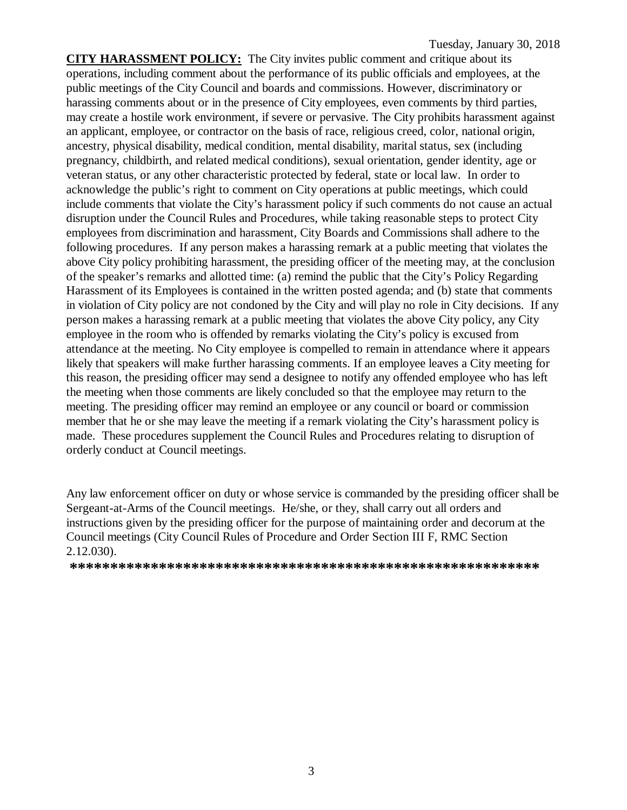**CITY HARASSMENT POLICY:** The City invites public comment and critique about its operations, including comment about the performance of its public officials and employees, at the public meetings of the City Council and boards and commissions. However, discriminatory or harassing comments about or in the presence of City employees, even comments by third parties, may create a hostile work environment, if severe or pervasive. The City prohibits harassment against an applicant, employee, or contractor on the basis of race, religious creed, color, national origin, ancestry, physical disability, medical condition, mental disability, marital status, sex (including pregnancy, childbirth, and related medical conditions), sexual orientation, gender identity, age or veteran status, or any other characteristic protected by federal, state or local law. In order to acknowledge the public's right to comment on City operations at public meetings, which could include comments that violate the City's harassment policy if such comments do not cause an actual disruption under the Council Rules and Procedures, while taking reasonable steps to protect City employees from discrimination and harassment, City Boards and Commissions shall adhere to the following procedures. If any person makes a harassing remark at a public meeting that violates the above City policy prohibiting harassment, the presiding officer of the meeting may, at the conclusion of the speaker's remarks and allotted time: (a) remind the public that the City's Policy Regarding Harassment of its Employees is contained in the written posted agenda; and (b) state that comments in violation of City policy are not condoned by the City and will play no role in City decisions. If any person makes a harassing remark at a public meeting that violates the above City policy, any City employee in the room who is offended by remarks violating the City's policy is excused from attendance at the meeting. No City employee is compelled to remain in attendance where it appears likely that speakers will make further harassing comments. If an employee leaves a City meeting for this reason, the presiding officer may send a designee to notify any offended employee who has left the meeting when those comments are likely concluded so that the employee may return to the meeting. The presiding officer may remind an employee or any council or board or commission member that he or she may leave the meeting if a remark violating the City's harassment policy is made. These procedures supplement the Council Rules and Procedures relating to disruption of orderly conduct at Council meetings.

Any law enforcement officer on duty or whose service is commanded by the presiding officer shall be Sergeant-at-Arms of the Council meetings. He/she, or they, shall carry out all orders and instructions given by the presiding officer for the purpose of maintaining order and decorum at the Council meetings (City Council Rules of Procedure and Order Section III F, RMC Section 2.12.030).

**\*\*\*\*\*\*\*\*\*\*\*\*\*\*\*\*\*\*\*\*\*\*\*\*\*\*\*\*\*\*\*\*\*\*\*\*\*\*\*\*\*\*\*\*\*\*\*\*\*\*\*\*\*\*\*\*\*\***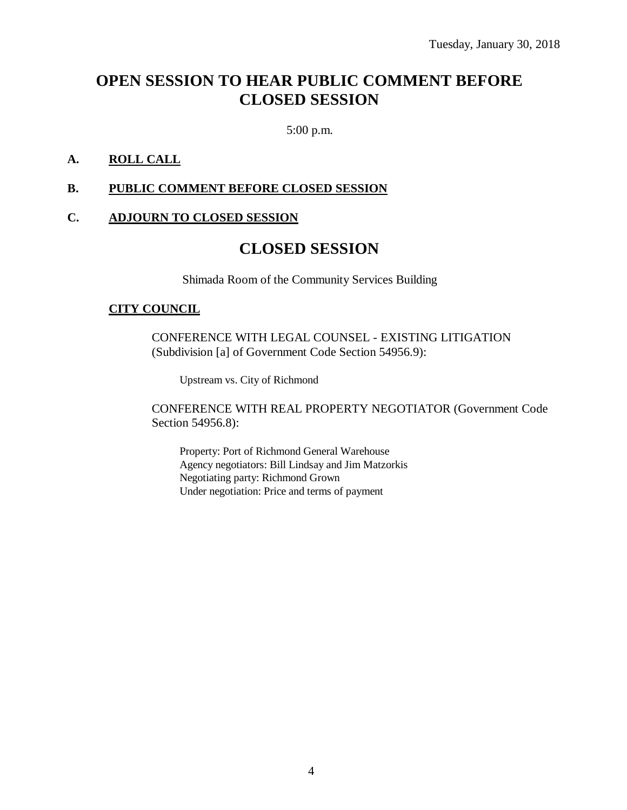# **OPEN SESSION TO HEAR PUBLIC COMMENT BEFORE CLOSED SESSION**

5:00 p.m.

### **A. ROLL CALL**

#### **B. PUBLIC COMMENT BEFORE CLOSED SESSION**

#### **C. ADJOURN TO CLOSED SESSION**

### **CLOSED SESSION**

Shimada Room of the Community Services Building

#### **CITY COUNCIL**

CONFERENCE WITH LEGAL COUNSEL - EXISTING LITIGATION (Subdivision [a] of Government Code Section 54956.9):

Upstream vs. City of Richmond

CONFERENCE WITH REAL PROPERTY NEGOTIATOR (Government Code Section 54956.8):

Property: Port of Richmond General Warehouse Agency negotiators: Bill Lindsay and Jim Matzorkis Negotiating party: Richmond Grown Under negotiation: Price and terms of payment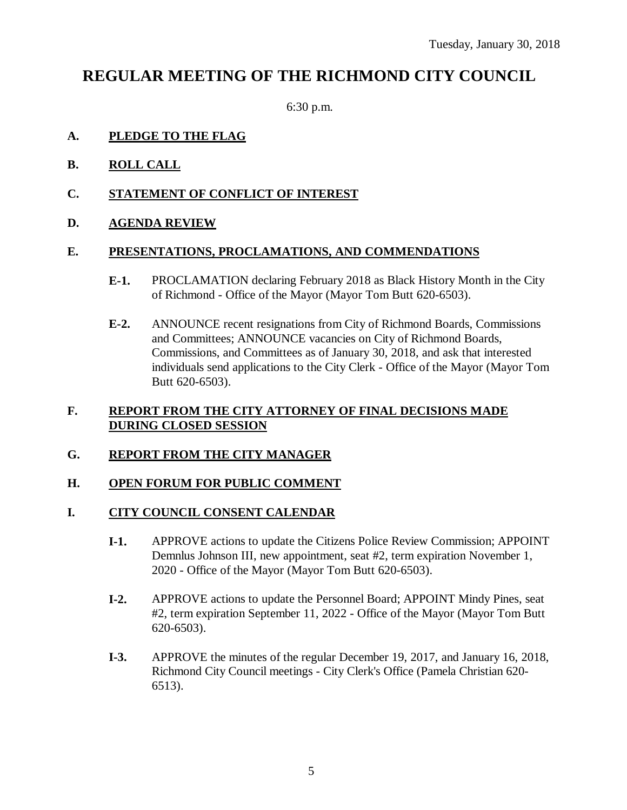### **REGULAR MEETING OF THE RICHMOND CITY COUNCIL**

6:30 p.m.

### **A. PLEDGE TO THE FLAG**

- **B. ROLL CALL**
- **C. STATEMENT OF CONFLICT OF INTEREST**
- **D. AGENDA REVIEW**

#### **E. PRESENTATIONS, PROCLAMATIONS, AND COMMENDATIONS**

- **E-1.** PROCLAMATION declaring February 2018 as Black History Month in the City of Richmond - Office of the Mayor (Mayor Tom Butt 620-6503).
- **E-2.** ANNOUNCE recent resignations from City of Richmond Boards, Commissions and Committees; ANNOUNCE vacancies on City of Richmond Boards, Commissions, and Committees as of January 30, 2018, and ask that interested individuals send applications to the City Clerk - Office of the Mayor (Mayor Tom Butt 620-6503).

#### **F. REPORT FROM THE CITY ATTORNEY OF FINAL DECISIONS MADE DURING CLOSED SESSION**

#### **G. REPORT FROM THE CITY MANAGER**

#### **H. OPEN FORUM FOR PUBLIC COMMENT**

#### **I. CITY COUNCIL CONSENT CALENDAR**

- **I-1.** APPROVE actions to update the Citizens Police Review Commission; APPOINT Demnlus Johnson III, new appointment, seat #2, term expiration November 1, 2020 - Office of the Mayor (Mayor Tom Butt 620-6503).
- **I-2.** APPROVE actions to update the Personnel Board; APPOINT Mindy Pines, seat #2, term expiration September 11, 2022 - Office of the Mayor (Mayor Tom Butt 620-6503).
- **I-3.** APPROVE the minutes of the regular December 19, 2017, and January 16, 2018, Richmond City Council meetings - City Clerk's Office (Pamela Christian 620- 6513).